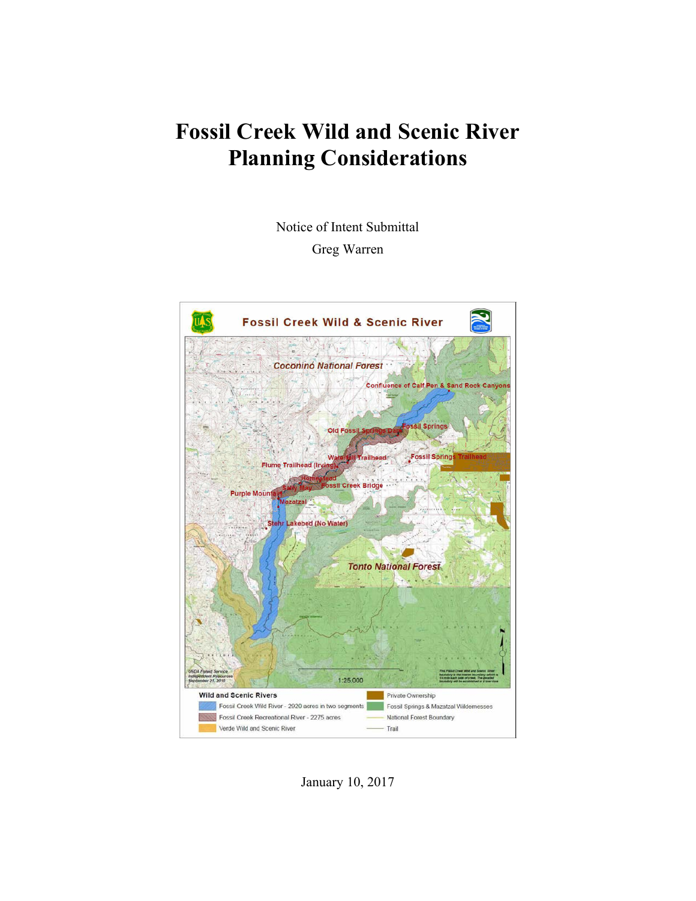# **Fossil Creek Wild and Scenic River Planning Considerations**

Notice of Intent Submittal

Greg Warren



January 10, 2017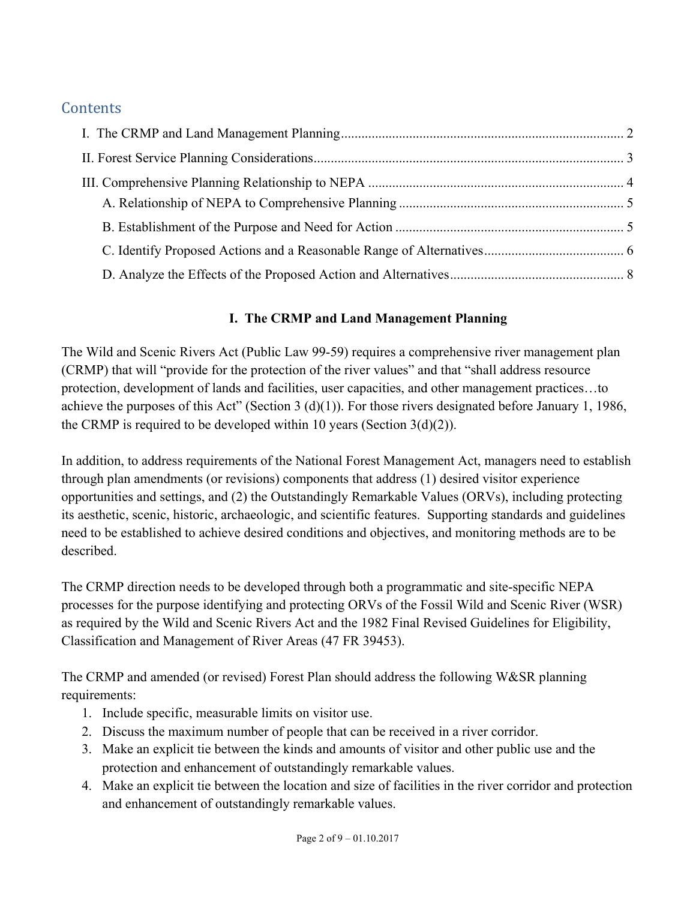# **Contents**

# **I. The CRMP and Land Management Planning**

The Wild and Scenic Rivers Act (Public Law 99-59) requires a comprehensive river management plan (CRMP) that will "provide for the protection of the river values" and that "shall address resource protection, development of lands and facilities, user capacities, and other management practices…to achieve the purposes of this Act" (Section 3 (d)(1)). For those rivers designated before January 1, 1986, the CRMP is required to be developed within 10 years (Section  $3(d)(2)$ ).

In addition, to address requirements of the National Forest Management Act, managers need to establish through plan amendments (or revisions) components that address (1) desired visitor experience opportunities and settings, and (2) the Outstandingly Remarkable Values (ORVs), including protecting its aesthetic, scenic, historic, archaeologic, and scientific features. Supporting standards and guidelines need to be established to achieve desired conditions and objectives, and monitoring methods are to be described.

The CRMP direction needs to be developed through both a programmatic and site-specific NEPA processes for the purpose identifying and protecting ORVs of the Fossil Wild and Scenic River (WSR) as required by the Wild and Scenic Rivers Act and the 1982 Final Revised Guidelines for Eligibility, Classification and Management of River Areas (47 FR 39453).

The CRMP and amended (or revised) Forest Plan should address the following W&SR planning requirements:

- 1. Include specific, measurable limits on visitor use.
- 2. Discuss the maximum number of people that can be received in a river corridor.
- 3. Make an explicit tie between the kinds and amounts of visitor and other public use and the protection and enhancement of outstandingly remarkable values.
- 4. Make an explicit tie between the location and size of facilities in the river corridor and protection and enhancement of outstandingly remarkable values.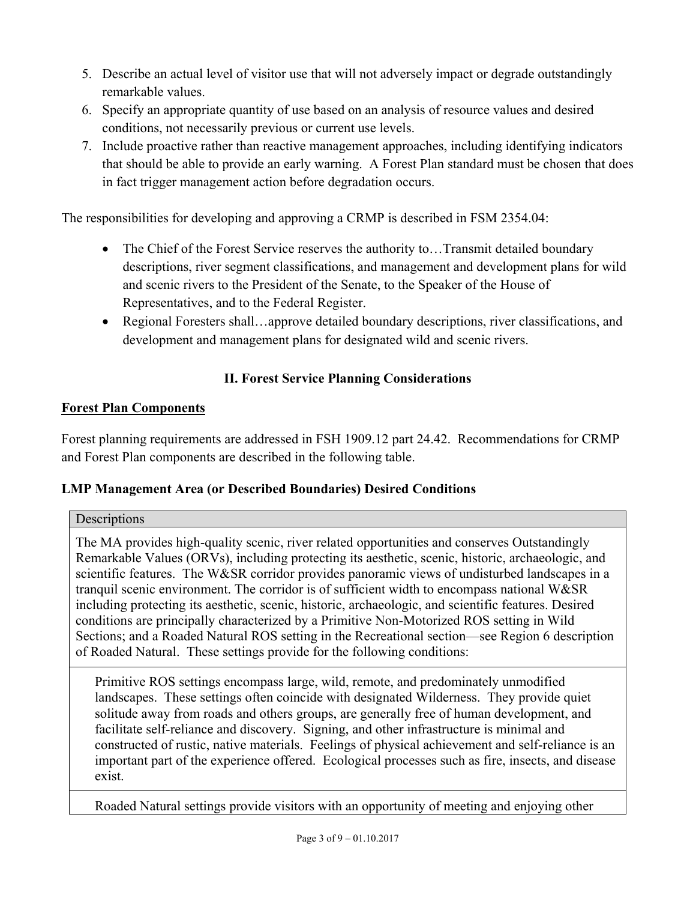- 5. Describe an actual level of visitor use that will not adversely impact or degrade outstandingly remarkable values.
- 6. Specify an appropriate quantity of use based on an analysis of resource values and desired conditions, not necessarily previous or current use levels.
- 7. Include proactive rather than reactive management approaches, including identifying indicators that should be able to provide an early warning. A Forest Plan standard must be chosen that does in fact trigger management action before degradation occurs.

The responsibilities for developing and approving a CRMP is described in FSM 2354.04:

- The Chief of the Forest Service reserves the authority to...Transmit detailed boundary descriptions, river segment classifications, and management and development plans for wild and scenic rivers to the President of the Senate, to the Speaker of the House of Representatives, and to the Federal Register.
- Regional Foresters shall…approve detailed boundary descriptions, river classifications, and development and management plans for designated wild and scenic rivers.

# **II. Forest Service Planning Considerations**

## **Forest Plan Components**

Forest planning requirements are addressed in FSH 1909.12 part 24.42. Recommendations for CRMP and Forest Plan components are described in the following table.

## **LMP Management Area (or Described Boundaries) Desired Conditions**

## Descriptions

The MA provides high-quality scenic, river related opportunities and conserves Outstandingly Remarkable Values (ORVs), including protecting its aesthetic, scenic, historic, archaeologic, and scientific features. The W&SR corridor provides panoramic views of undisturbed landscapes in a tranquil scenic environment. The corridor is of sufficient width to encompass national W&SR including protecting its aesthetic, scenic, historic, archaeologic, and scientific features. Desired conditions are principally characterized by a Primitive Non-Motorized ROS setting in Wild Sections; and a Roaded Natural ROS setting in the Recreational section—see Region 6 description of Roaded Natural. These settings provide for the following conditions:

Primitive ROS settings encompass large, wild, remote, and predominately unmodified landscapes. These settings often coincide with designated Wilderness. They provide quiet solitude away from roads and others groups, are generally free of human development, and facilitate self-reliance and discovery. Signing, and other infrastructure is minimal and constructed of rustic, native materials. Feelings of physical achievement and self-reliance is an important part of the experience offered. Ecological processes such as fire, insects, and disease exist.

Roaded Natural settings provide visitors with an opportunity of meeting and enjoying other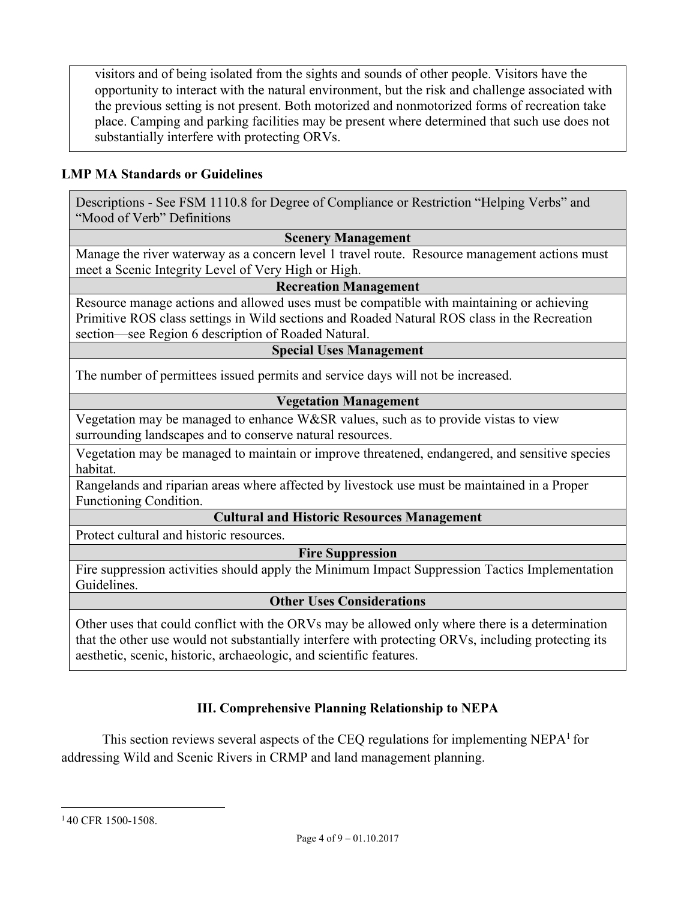visitors and of being isolated from the sights and sounds of other people. Visitors have the opportunity to interact with the natural environment, but the risk and challenge associated with the previous setting is not present. Both motorized and nonmotorized forms of recreation take place. Camping and parking facilities may be present where determined that such use does not substantially interfere with protecting ORVs.

## **LMP MA Standards or Guidelines**

Descriptions - See FSM 1110.8 for Degree of Compliance or Restriction "Helping Verbs" and "Mood of Verb" Definitions

#### **Scenery Management**

Manage the river waterway as a concern level 1 travel route. Resource management actions must meet a Scenic Integrity Level of Very High or High.

#### **Recreation Management**

Resource manage actions and allowed uses must be compatible with maintaining or achieving Primitive ROS class settings in Wild sections and Roaded Natural ROS class in the Recreation section—see Region 6 description of Roaded Natural.

#### **Special Uses Management**

The number of permittees issued permits and service days will not be increased.

### **Vegetation Management**

Vegetation may be managed to enhance W&SR values, such as to provide vistas to view surrounding landscapes and to conserve natural resources.

Vegetation may be managed to maintain or improve threatened, endangered, and sensitive species habitat.

Rangelands and riparian areas where affected by livestock use must be maintained in a Proper Functioning Condition.

#### **Cultural and Historic Resources Management**

Protect cultural and historic resources.

**Fire Suppression** 

Fire suppression activities should apply the Minimum Impact Suppression Tactics Implementation Guidelines.

#### **Other Uses Considerations**

Other uses that could conflict with the ORVs may be allowed only where there is a determination that the other use would not substantially interfere with protecting ORVs, including protecting its aesthetic, scenic, historic, archaeologic, and scientific features.

## **III. Comprehensive Planning Relationship to NEPA**

This section reviews several aspects of the CEQ regulations for implementing  $NEPA<sup>1</sup>$  for addressing Wild and Scenic Rivers in CRMP and land management planning.

<sup>1</sup> <sup>1</sup>40 CFR 1500-1508.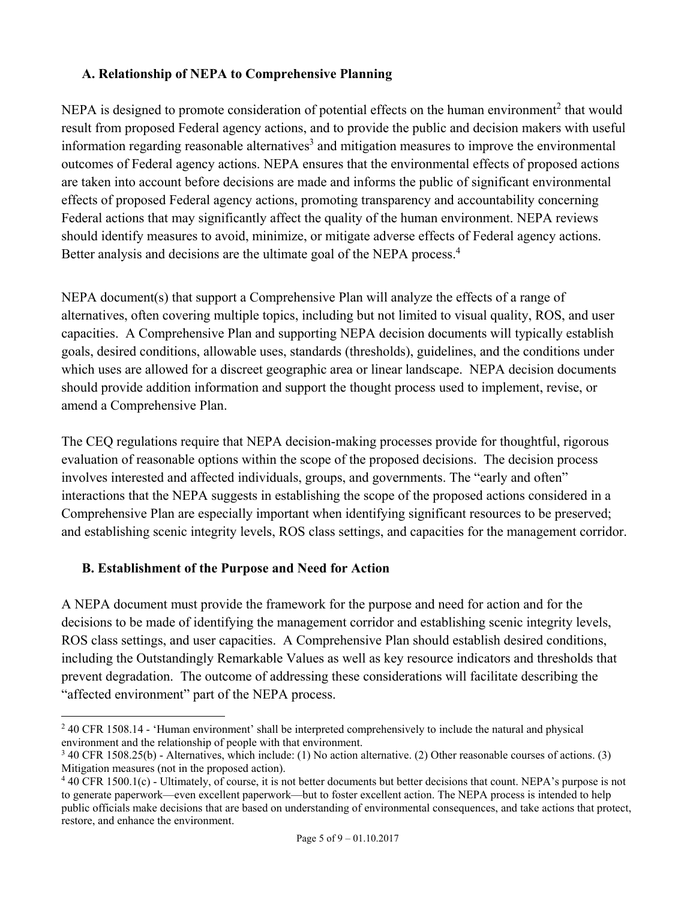## **A. Relationship of NEPA to Comprehensive Planning**

NEPA is designed to promote consideration of potential effects on the human environment<sup>2</sup> that would result from proposed Federal agency actions, and to provide the public and decision makers with useful information regarding reasonable alternatives<sup>3</sup> and mitigation measures to improve the environmental outcomes of Federal agency actions. NEPA ensures that the environmental effects of proposed actions are taken into account before decisions are made and informs the public of significant environmental effects of proposed Federal agency actions, promoting transparency and accountability concerning Federal actions that may significantly affect the quality of the human environment. NEPA reviews should identify measures to avoid, minimize, or mitigate adverse effects of Federal agency actions. Better analysis and decisions are the ultimate goal of the NEPA process.<sup>4</sup>

NEPA document(s) that support a Comprehensive Plan will analyze the effects of a range of alternatives, often covering multiple topics, including but not limited to visual quality, ROS, and user capacities. A Comprehensive Plan and supporting NEPA decision documents will typically establish goals, desired conditions, allowable uses, standards (thresholds), guidelines, and the conditions under which uses are allowed for a discreet geographic area or linear landscape. NEPA decision documents should provide addition information and support the thought process used to implement, revise, or amend a Comprehensive Plan.

The CEQ regulations require that NEPA decision-making processes provide for thoughtful, rigorous evaluation of reasonable options within the scope of the proposed decisions. The decision process involves interested and affected individuals, groups, and governments. The "early and often" interactions that the NEPA suggests in establishing the scope of the proposed actions considered in a Comprehensive Plan are especially important when identifying significant resources to be preserved; and establishing scenic integrity levels, ROS class settings, and capacities for the management corridor.

## **B. Establishment of the Purpose and Need for Action**

A NEPA document must provide the framework for the purpose and need for action and for the decisions to be made of identifying the management corridor and establishing scenic integrity levels, ROS class settings, and user capacities. A Comprehensive Plan should establish desired conditions, including the Outstandingly Remarkable Values as well as key resource indicators and thresholds that prevent degradation. The outcome of addressing these considerations will facilitate describing the "affected environment" part of the NEPA process.

 $\overline{a}$ <sup>2</sup> 40 CFR 1508.14 - 'Human environment' shall be interpreted comprehensively to include the natural and physical environment and the relationship of people with that environment.

<sup>&</sup>lt;sup>3</sup> 40 CFR 1508.25(b) - Alternatives, which include: (1) No action alternative. (2) Other reasonable courses of actions. (3) Mitigation measures (not in the proposed action).

<sup>&</sup>lt;sup>4</sup> 40 CFR 1500.1(c) - Ultimately, of course, it is not better documents but better decisions that count. NEPA's purpose is not to generate paperwork—even excellent paperwork—but to foster excellent action. The NEPA process is intended to help public officials make decisions that are based on understanding of environmental consequences, and take actions that protect, restore, and enhance the environment.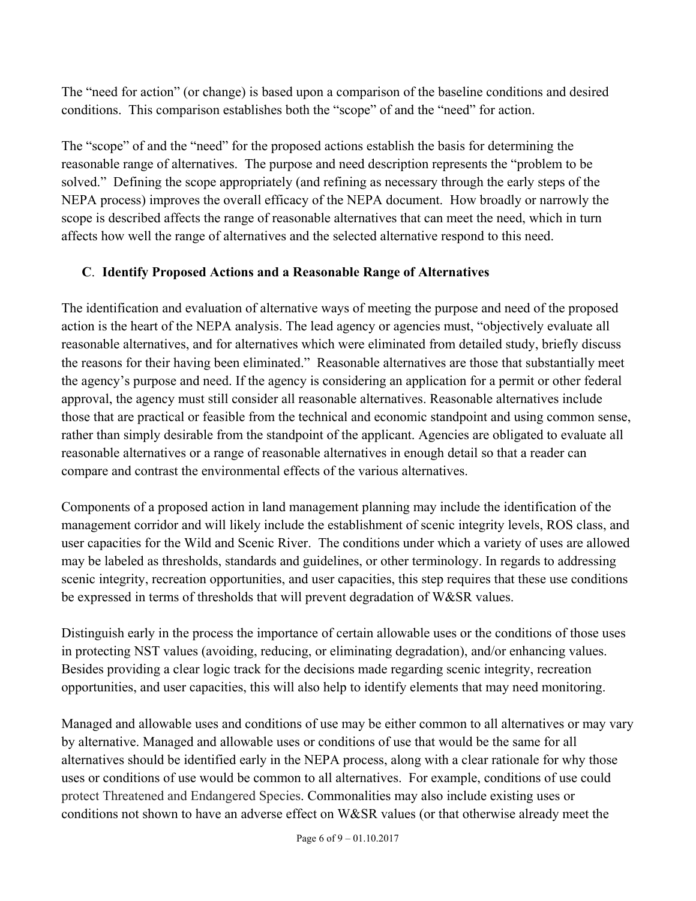The "need for action" (or change) is based upon a comparison of the baseline conditions and desired conditions. This comparison establishes both the "scope" of and the "need" for action.

The "scope" of and the "need" for the proposed actions establish the basis for determining the reasonable range of alternatives. The purpose and need description represents the "problem to be solved." Defining the scope appropriately (and refining as necessary through the early steps of the NEPA process) improves the overall efficacy of the NEPA document. How broadly or narrowly the scope is described affects the range of reasonable alternatives that can meet the need, which in turn affects how well the range of alternatives and the selected alternative respond to this need.

## **C**. **Identify Proposed Actions and a Reasonable Range of Alternatives**

The identification and evaluation of alternative ways of meeting the purpose and need of the proposed action is the heart of the NEPA analysis. The lead agency or agencies must, "objectively evaluate all reasonable alternatives, and for alternatives which were eliminated from detailed study, briefly discuss the reasons for their having been eliminated." Reasonable alternatives are those that substantially meet the agency's purpose and need. If the agency is considering an application for a permit or other federal approval, the agency must still consider all reasonable alternatives. Reasonable alternatives include those that are practical or feasible from the technical and economic standpoint and using common sense, rather than simply desirable from the standpoint of the applicant. Agencies are obligated to evaluate all reasonable alternatives or a range of reasonable alternatives in enough detail so that a reader can compare and contrast the environmental effects of the various alternatives.

Components of a proposed action in land management planning may include the identification of the management corridor and will likely include the establishment of scenic integrity levels, ROS class, and user capacities for the Wild and Scenic River. The conditions under which a variety of uses are allowed may be labeled as thresholds, standards and guidelines, or other terminology. In regards to addressing scenic integrity, recreation opportunities, and user capacities, this step requires that these use conditions be expressed in terms of thresholds that will prevent degradation of W&SR values.

Distinguish early in the process the importance of certain allowable uses or the conditions of those uses in protecting NST values (avoiding, reducing, or eliminating degradation), and/or enhancing values. Besides providing a clear logic track for the decisions made regarding scenic integrity, recreation opportunities, and user capacities, this will also help to identify elements that may need monitoring.

Managed and allowable uses and conditions of use may be either common to all alternatives or may vary by alternative. Managed and allowable uses or conditions of use that would be the same for all alternatives should be identified early in the NEPA process, along with a clear rationale for why those uses or conditions of use would be common to all alternatives. For example, conditions of use could protect Threatened and Endangered Species. Commonalities may also include existing uses or conditions not shown to have an adverse effect on W&SR values (or that otherwise already meet the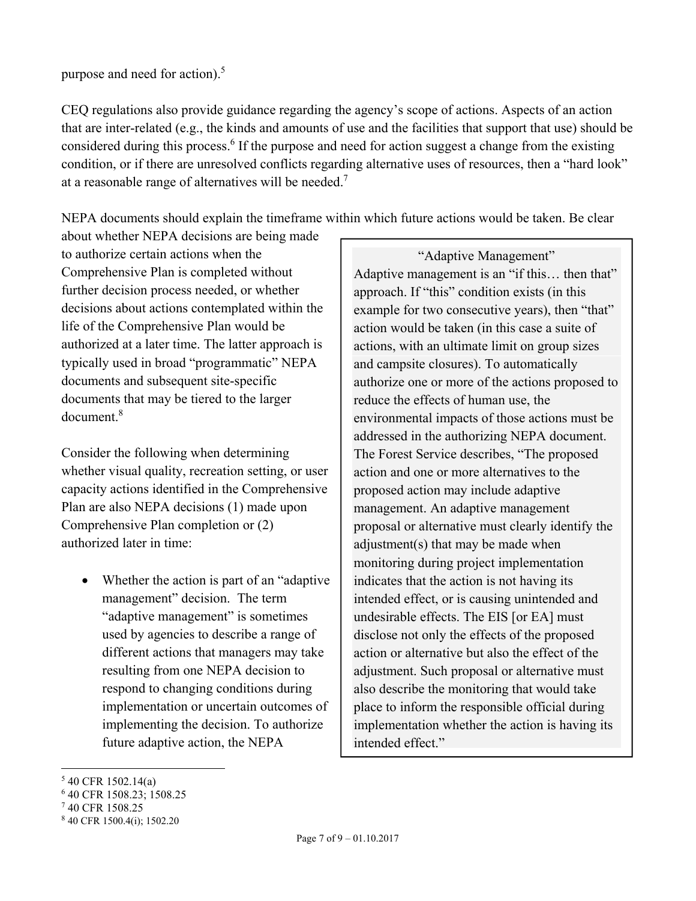purpose and need for action). $5$ 

CEQ regulations also provide guidance regarding the agency's scope of actions. Aspects of an action that are inter-related (e.g., the kinds and amounts of use and the facilities that support that use) should be considered during this process.<sup>6</sup> If the purpose and need for action suggest a change from the existing condition, or if there are unresolved conflicts regarding alternative uses of resources, then a "hard look" at a reasonable range of alternatives will be needed.<sup>7</sup>

NEPA documents should explain the timeframe within which future actions would be taken. Be clear

about whether NEPA decisions are being made to authorize certain actions when the Comprehensive Plan is completed without further decision process needed, or whether decisions about actions contemplated within the life of the Comprehensive Plan would be authorized at a later time. The latter approach is typically used in broad "programmatic" NEPA documents and subsequent site-specific documents that may be tiered to the larger document.<sup>8</sup>

Consider the following when determining whether visual quality, recreation setting, or user capacity actions identified in the Comprehensive Plan are also NEPA decisions (1) made upon Comprehensive Plan completion or (2) authorized later in time:

• Whether the action is part of an "adaptive" management" decision. The term "adaptive management" is sometimes used by agencies to describe a range of different actions that managers may take resulting from one NEPA decision to respond to changing conditions during implementation or uncertain outcomes of implementing the decision. To authorize future adaptive action, the NEPA

"Adaptive Management" Adaptive management is an "if this… then that" approach. If "this" condition exists (in this example for two consecutive years), then "that" action would be taken (in this case a suite of actions, with an ultimate limit on group sizes and campsite closures). To automatically authorize one or more of the actions proposed to reduce the effects of human use, the environmental impacts of those actions must be addressed in the authorizing NEPA document. The Forest Service describes, "The proposed action and one or more alternatives to the proposed action may include adaptive management. An adaptive management proposal or alternative must clearly identify the adjustment(s) that may be made when monitoring during project implementation indicates that the action is not having its intended effect, or is causing unintended and undesirable effects. The EIS [or EA] must disclose not only the effects of the proposed action or alternative but also the effect of the adjustment. Such proposal or alternative must also describe the monitoring that would take place to inform the responsible official during implementation whether the action is having its intended effect."

 $\overline{a}$ 

<sup>5</sup> 40 CFR 1502.14(a)

<sup>6</sup> 40 CFR 1508.23; 1508.25

<sup>7</sup> 40 CFR 1508.25

<sup>8</sup> 40 CFR 1500.4(i); 1502.20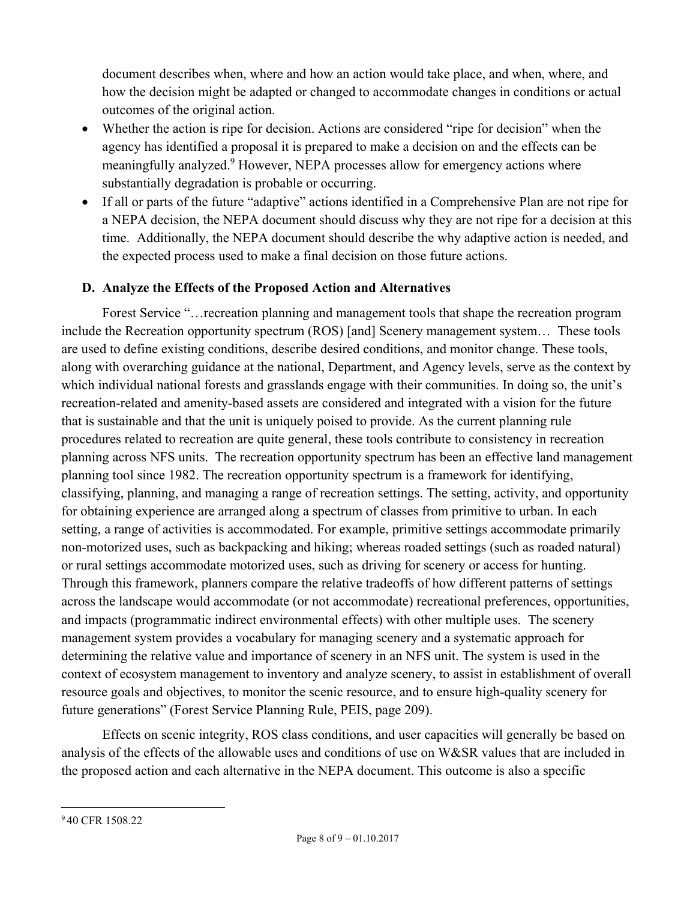document describes when, where and how an action would take place, and when, where, and how the decision might be adapted or changed to accommodate changes in conditions or actual outcomes of the original action.

- Whether the action is ripe for decision. Actions are considered "ripe for decision" when the agency has identified a proposal it is prepared to make a decision on and the effects can be meaningfully analyzed.<sup>9</sup> However, NEPA processes allow for emergency actions where substantially degradation is probable or occurring.
- If all or parts of the future "adaptive" actions identified in a Comprehensive Plan are not ripe for a NEPA decision, the NEPA document should discuss why they are not ripe for a decision at this time. Additionally, the NEPA document should describe the why adaptive action is needed, and the expected process used to make a final decision on those future actions.

# **D. Analyze the Effects of the Proposed Action and Alternatives**

 Forest Service "…recreation planning and management tools that shape the recreation program include the Recreation opportunity spectrum (ROS) [and] Scenery management system… These tools are used to define existing conditions, describe desired conditions, and monitor change. These tools, along with overarching guidance at the national, Department, and Agency levels, serve as the context by which individual national forests and grasslands engage with their communities. In doing so, the unit's recreation-related and amenity-based assets are considered and integrated with a vision for the future that is sustainable and that the unit is uniquely poised to provide. As the current planning rule procedures related to recreation are quite general, these tools contribute to consistency in recreation planning across NFS units. The recreation opportunity spectrum has been an effective land management planning tool since 1982. The recreation opportunity spectrum is a framework for identifying, classifying, planning, and managing a range of recreation settings. The setting, activity, and opportunity for obtaining experience are arranged along a spectrum of classes from primitive to urban. In each setting, a range of activities is accommodated. For example, primitive settings accommodate primarily non-motorized uses, such as backpacking and hiking; whereas roaded settings (such as roaded natural) or rural settings accommodate motorized uses, such as driving for scenery or access for hunting. Through this framework, planners compare the relative tradeoffs of how different patterns of settings across the landscape would accommodate (or not accommodate) recreational preferences, opportunities, and impacts (programmatic indirect environmental effects) with other multiple uses. The scenery management system provides a vocabulary for managing scenery and a systematic approach for determining the relative value and importance of scenery in an NFS unit. The system is used in the context of ecosystem management to inventory and analyze scenery, to assist in establishment of overall resource goals and objectives, to monitor the scenic resource, and to ensure high-quality scenery for future generations" (Forest Service Planning Rule, PEIS, page 209).

 Effects on scenic integrity, ROS class conditions, and user capacities will generally be based on analysis of the effects of the allowable uses and conditions of use on W&SR values that are included in the proposed action and each alternative in the NEPA document. This outcome is also a specific

 $\overline{a}$ 9 40 CFR 1508.22